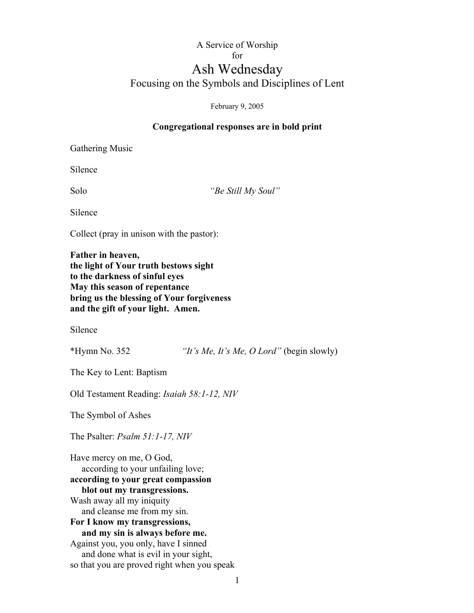## A Service of Worship for Ash Wednesday

## Focusing on the Symbols and Disciplines of Lent

February 9, 2005

## **Congregational responses are in bold print**

Gathering Music

Silence

Solo *"Be Still My Soul"*

Silence

Collect (pray in unison with the pastor):

**Father in heaven, the light of Your truth bestows sight to the darkness of sinful eyes May this season of repentance bring us the blessing of Your forgiveness and the gift of your light. Amen.**

Silence

\*Hymn No. 352 *"It's Me, It's Me, O Lord"* (begin slowly)

The Key to Lent: Baptism

Old Testament Reading: *Isaiah 58:1-12, NIV*

The Symbol of Ashes

The Psalter: *Psalm 51:1-17, NIV*

Have mercy on me, O God, according to your unfailing love; **according to your great compassion blot out my transgressions.** Wash away all my iniquity and cleanse me from my sin. **For I know my transgressions, and my sin is always before me.** Against you, you only, have I sinned and done what is evil in your sight, so that you are proved right when you speak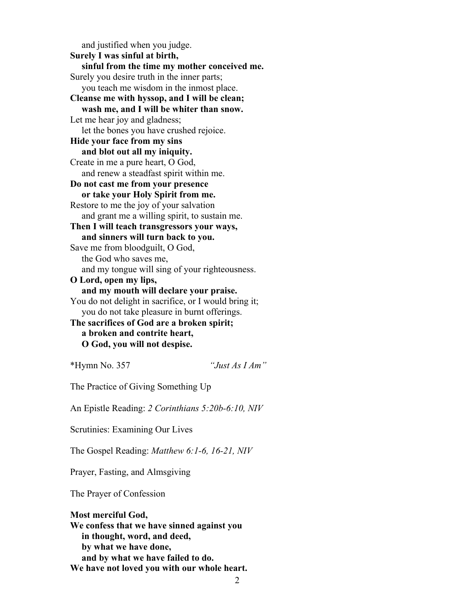and justified when you judge. **Surely I was sinful at birth, sinful from the time my mother conceived me.** Surely you desire truth in the inner parts; you teach me wisdom in the inmost place. **Cleanse me with hyssop, and I will be clean; wash me, and I will be whiter than snow.** Let me hear joy and gladness; let the bones you have crushed rejoice. **Hide your face from my sins and blot out all my iniquity.** Create in me a pure heart, O God, and renew a steadfast spirit within me. **Do not cast me from your presence or take your Holy Spirit from me.** Restore to me the joy of your salvation and grant me a willing spirit, to sustain me. **Then I will teach transgressors your ways, and sinners will turn back to you.** Save me from bloodguilt, O God, the God who saves me, and my tongue will sing of your righteousness. **O Lord, open my lips, and my mouth will declare your praise.** You do not delight in sacrifice, or I would bring it; you do not take pleasure in burnt offerings. **The sacrifices of God are a broken spirit; a broken and contrite heart, O God, you will not despise.** \*Hymn No. 357 *"Just As I Am"*

The Practice of Giving Something Up

An Epistle Reading: *2 Corinthians 5:20b-6:10, NIV*

Scrutinies: Examining Our Lives

The Gospel Reading: *Matthew 6:1-6, 16-21, NIV*

Prayer, Fasting, and Almsgiving

The Prayer of Confession

**Most merciful God, We confess that we have sinned against you in thought, word, and deed, by what we have done, and by what we have failed to do. We have not loved you with our whole heart.**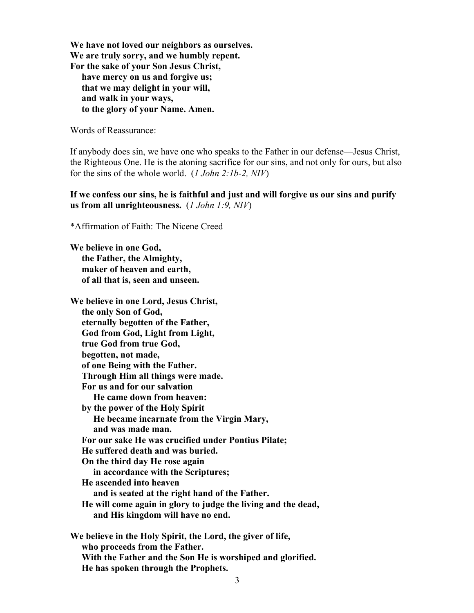**We have not loved our neighbors as ourselves. We are truly sorry, and we humbly repent. For the sake of your Son Jesus Christ, have mercy on us and forgive us; that we may delight in your will, and walk in your ways, to the glory of your Name. Amen.**

Words of Reassurance:

If anybody does sin, we have one who speaks to the Father in our defense—Jesus Christ, the Righteous One. He is the atoning sacrifice for our sins, and not only for ours, but also for the sins of the whole world. (*1 John 2:1b-2, NIV*)

**If we confess our sins, he is faithful and just and will forgive us our sins and purify us from all unrighteousness.** (*1 John 1:9, NIV*)

\*Affirmation of Faith: The Nicene Creed

**We believe in one God, the Father, the Almighty, maker of heaven and earth, of all that is, seen and unseen.**

**We believe in one Lord, Jesus Christ, the only Son of God, eternally begotten of the Father, God from God, Light from Light, true God from true God, begotten, not made, of one Being with the Father. Through Him all things were made. For us and for our salvation He came down from heaven: by the power of the Holy Spirit He became incarnate from the Virgin Mary, and was made man. For our sake He was crucified under Pontius Pilate; He suffered death and was buried. On the third day He rose again in accordance with the Scriptures; He ascended into heaven and is seated at the right hand of the Father. He will come again in glory to judge the living and the dead, and His kingdom will have no end. We believe in the Holy Spirit, the Lord, the giver of life,**

 **who proceeds from the Father. With the Father and the Son He is worshiped and glorified. He has spoken through the Prophets.**